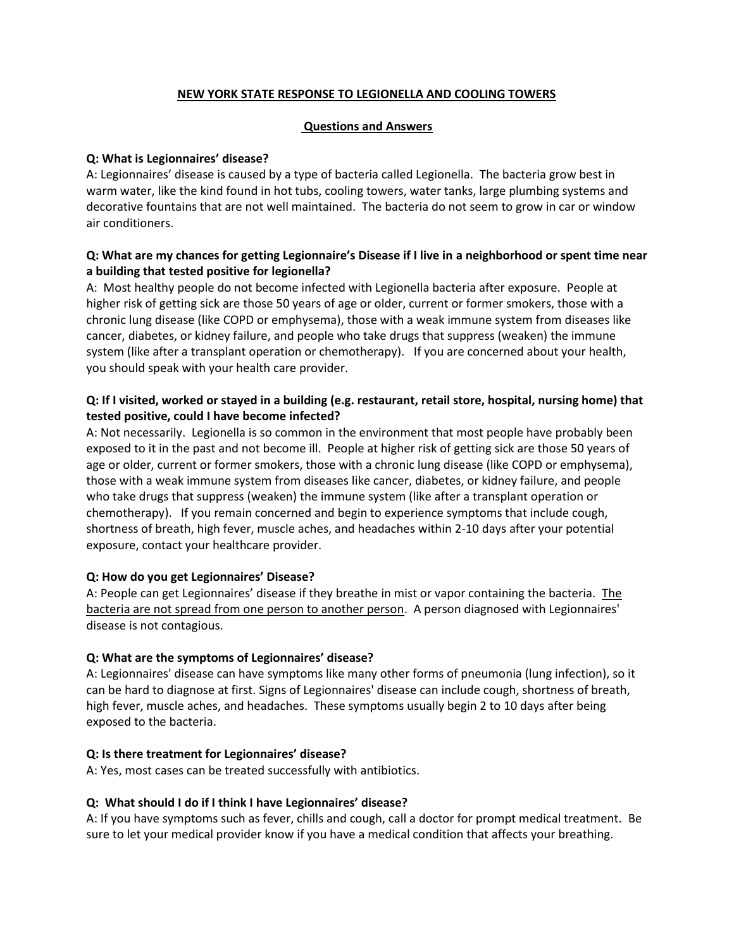# **NEW YORK STATE RESPONSE TO LEGIONELLA AND COOLING TOWERS**

### **Questions and Answers**

### **Q: What is Legionnaires' disease?**

A: Legionnaires' disease is caused by a type of bacteria called Legionella. The bacteria grow best in warm water, like the kind found in hot tubs, cooling towers, water tanks, large plumbing systems and decorative fountains that are not well maintained. The bacteria do not seem to grow in car or window air conditioners.

# **Q: What are my chances for getting Legionnaire's Disease if I live in a neighborhood or spent time near a building that tested positive for legionella?**

A: Most healthy people do not become infected with Legionella bacteria after exposure. People at higher risk of getting sick are those 50 years of age or older, current or former smokers, those with a chronic lung disease (like COPD or emphysema), those with a weak immune system from diseases like cancer, diabetes, or kidney failure, and people who take drugs that suppress (weaken) the immune system (like after a transplant operation or chemotherapy). If you are concerned about your health, you should speak with your health care provider.

# **Q: If I visited, worked or stayed in a building (e.g. restaurant, retail store, hospital, nursing home) that tested positive, could I have become infected?**

A: Not necessarily. Legionella is so common in the environment that most people have probably been exposed to it in the past and not become ill. People at higher risk of getting sick are those 50 years of age or older, current or former smokers, those with a chronic lung disease (like COPD or emphysema), those with a weak immune system from diseases like cancer, diabetes, or kidney failure, and people who take drugs that suppress (weaken) the immune system (like after a transplant operation or chemotherapy). If you remain concerned and begin to experience symptoms that include cough, shortness of breath, high fever, muscle aches, and headaches within 2-10 days after your potential exposure, contact your healthcare provider.

### **Q: How do you get Legionnaires' Disease?**

A: People can get Legionnaires' disease if they breathe in mist or vapor containing the bacteria. The bacteria are not spread from one person to another person. A person diagnosed with Legionnaires' disease is not contagious.

### **Q: What are the symptoms of Legionnaires' disease?**

A: Legionnaires' disease can have symptoms like many other forms of pneumonia (lung infection), so it can be hard to diagnose at first. Signs of Legionnaires' disease can include cough, shortness of breath, high fever, muscle aches, and headaches. These symptoms usually begin 2 to 10 days after being exposed to the bacteria.

### **Q: Is there treatment for Legionnaires' disease?**

A: Yes, most cases can be treated successfully with antibiotics.

### **Q: What should I do if I think I have Legionnaires' disease?**

A: If you have symptoms such as fever, chills and cough, call a doctor for prompt medical treatment. Be sure to let your medical provider know if you have a medical condition that affects your breathing.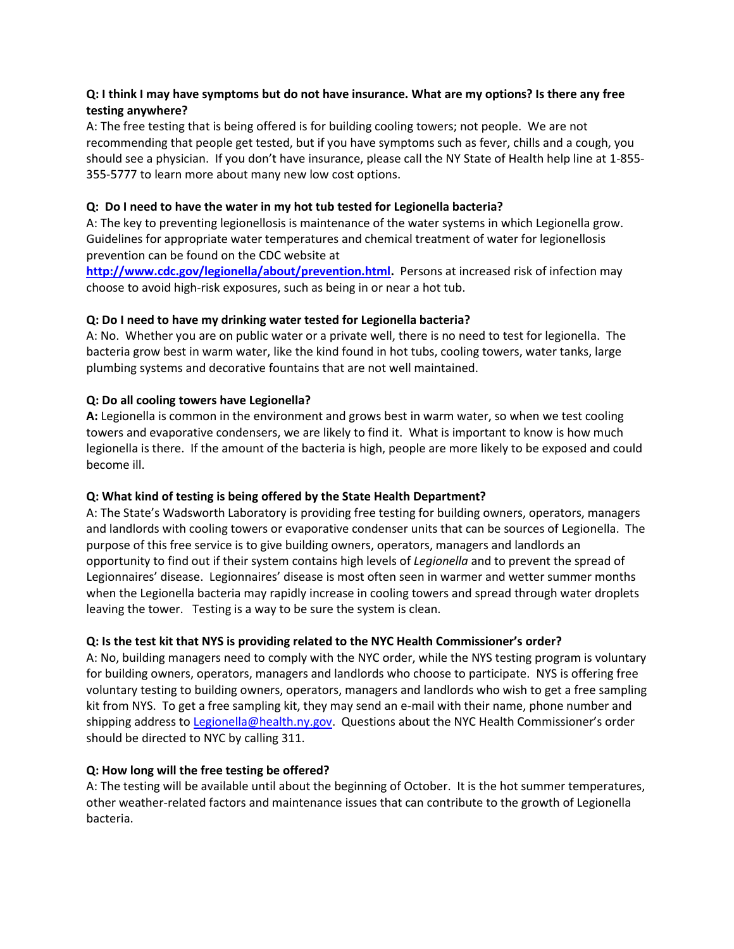# **Q: I think I may have symptoms but do not have insurance. What are my options? Is there any free testing anywhere?**

A: The free testing that is being offered is for building cooling towers; not people. We are not recommending that people get tested, but if you have symptoms such as fever, chills and a cough, you should see a physician. If you don't have insurance, please call the NY State of Health help line at 1-855- 355-5777 to learn more about many new low cost options.

# **Q: Do I need to have the water in my hot tub tested for Legionella bacteria?**

A: The key to preventing legionellosis is maintenance of the water systems in which Legionella grow. Guidelines for appropriate water temperatures and chemical treatment of water for legionellosis prevention can be found on the CDC website at

**[http://www.cdc.gov/legionella/about/prevention.html.](http://www.cdc.gov/legionella/about/prevention.html)** Persons at increased risk of infection may choose to avoid high-risk exposures, such as being in or near a hot tub.

### **Q: Do I need to have my drinking water tested for Legionella bacteria?**

A: No. Whether you are on public water or a private well, there is no need to test for legionella. The bacteria grow best in warm water, like the kind found in hot tubs, cooling towers, water tanks, large plumbing systems and decorative fountains that are not well maintained.

### **Q: Do all cooling towers have Legionella?**

**A:** Legionella is common in the environment and grows best in warm water, so when we test cooling towers and evaporative condensers, we are likely to find it. What is important to know is how much legionella is there. If the amount of the bacteria is high, people are more likely to be exposed and could become ill.

### **Q: What kind of testing is being offered by the State Health Department?**

A: The State's Wadsworth Laboratory is providing free testing for building owners, operators, managers and landlords with cooling towers or evaporative condenser units that can be sources of Legionella. The purpose of this free service is to give building owners, operators, managers and landlords an opportunity to find out if their system contains high levels of *Legionella* and to prevent the spread of Legionnaires' disease. Legionnaires' disease is most often seen in warmer and wetter summer months when the Legionella bacteria may rapidly increase in cooling towers and spread through water droplets leaving the tower. Testing is a way to be sure the system is clean.

### **Q: Is the test kit that NYS is providing related to the NYC Health Commissioner's order?**

A: No, building managers need to comply with the NYC order, while the NYS testing program is voluntary for building owners, operators, managers and landlords who choose to participate. NYS is offering free voluntary testing to building owners, operators, managers and landlords who wish to get a free sampling kit from NYS. To get a free sampling kit, they may send an e-mail with their name, phone number and shipping address to [Legionella@health.ny.gov.](mailto:Legionella@health.ny.gov) Questions about the NYC Health Commissioner's order should be directed to NYC by calling 311.

### **Q: How long will the free testing be offered?**

A: The testing will be available until about the beginning of October. It is the hot summer temperatures, other weather-related factors and maintenance issues that can contribute to the growth of Legionella bacteria.